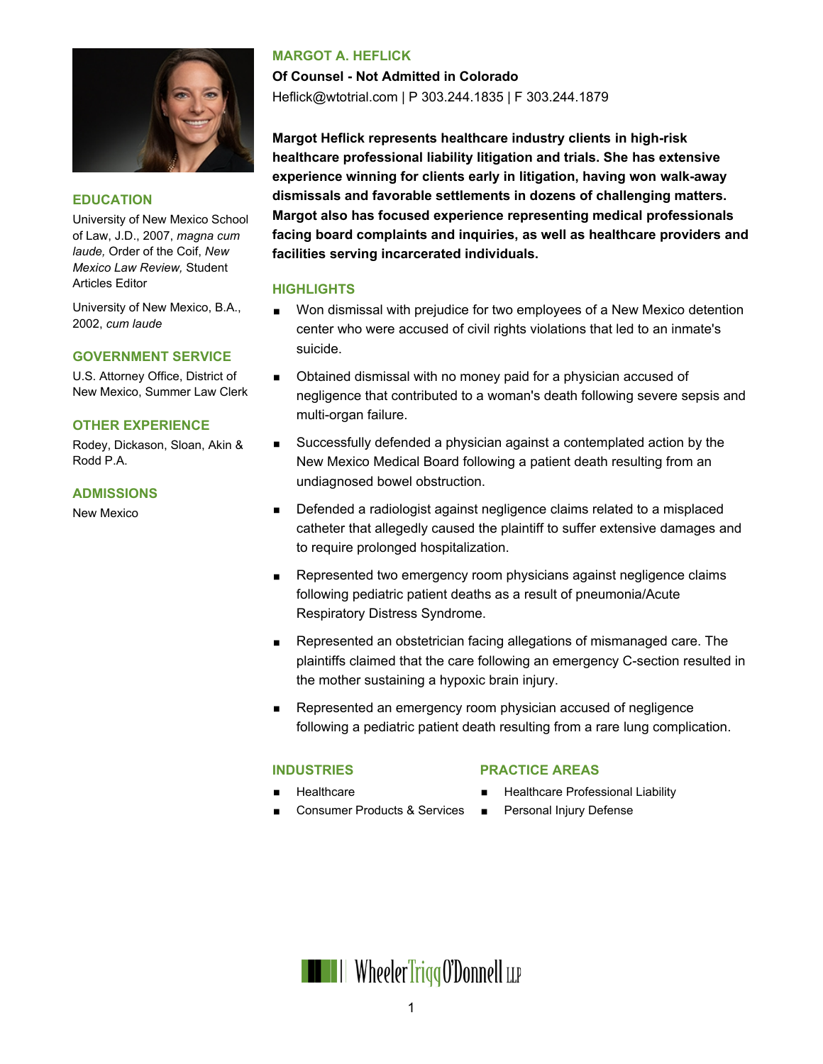

#### **EDUCATION**

University of New Mexico School of Law, J.D., 2007, *magna cum laude,* Order of the Coif, *New Mexico Law Review,* Student Articles Editor

University of New Mexico, B.A., 2002, *cum laude*

#### **GOVERNMENT SERVICE**

U.S. Attorney Office, District of New Mexico, Summer Law Clerk

#### **OTHER EXPERIENCE**

Rodey, Dickason, Sloan, Akin & Rodd P.A.

#### **ADMISSIONS**

New Mexico

## **MARGOT A. HEFLICK**

**Of Counsel - Not Admitted in Colorado** Heflick@wtotrial.com | P 303.244.1835 | F 303.244.1879

**Margot Heflick represents healthcare industry clients in high-risk healthcare professional liability litigation and trials. She has extensive experience winning for clients early in litigation, having won walk-away dismissals and favorable settlements in dozens of challenging matters. Margot also has focused experience representing medical professionals facing board complaints and inquiries, as well as healthcare providers and facilities serving incarcerated individuals.**

#### **HIGHLIGHTS**

- Won dismissal with prejudice for two employees of a New Mexico detention center who were accused of civil rights violations that led to an inmate's suicide.
- **D**btained dismissal with no money paid for a physician accused of negligence that contributed to a woman's death following severe sepsis and multi-organ failure.
- Successfully defended a physician against a contemplated action by the New Mexico Medical Board following a patient death resulting from an undiagnosed bowel obstruction.
- **Defended a radiologist against negligence claims related to a misplaced** catheter that allegedly caused the plaintiff to suffer extensive damages and to require prolonged hospitalization.
- Represented two emergency room physicians against negligence claims following pediatric patient deaths as a result of pneumonia/Acute Respiratory Distress Syndrome.
- Represented an obstetrician facing allegations of mismanaged care. The plaintiffs claimed that the care following an emergency C-section resulted in the mother sustaining a hypoxic brain injury.
- Represented an emergency room physician accused of negligence following a pediatric patient death resulting from a rare lung complication.

#### **INDUSTRIES**

#### **PRACTICE AREAS**

**Healthcare** 

- Healthcare Professional Liability **Personal Injury Defense**
- Consumer Products & Services

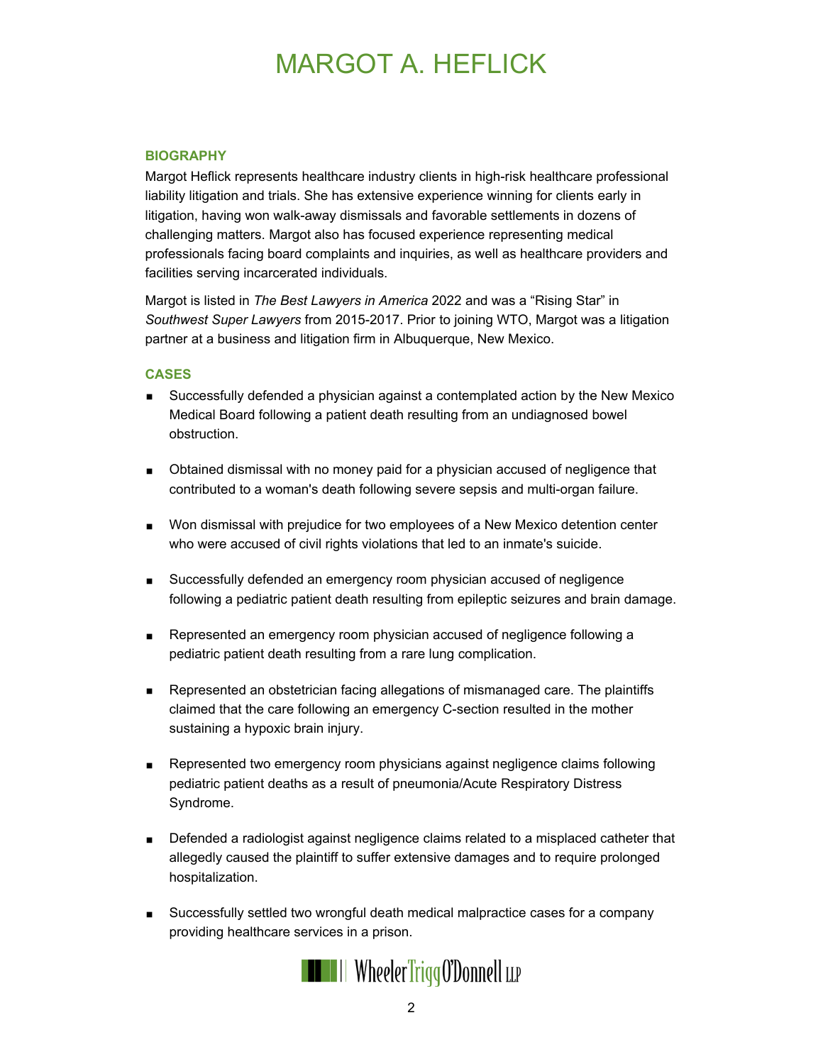# MARGOT A. HEFLICK

### **BIOGRAPHY**

Margot Heflick represents healthcare industry clients in high-risk healthcare professional liability litigation and trials. She has extensive experience winning for clients early in litigation, having won walk-away dismissals and favorable settlements in dozens of challenging matters. Margot also has focused experience representing medical professionals facing board complaints and inquiries, as well as healthcare providers and facilities serving incarcerated individuals.

Margot is listed in *The Best Lawyers in America* 2022 and was a "Rising Star" in *Southwest Super Lawyers* from 2015-2017. Prior to joining WTO, Margot was a litigation partner at a business and litigation firm in Albuquerque, New Mexico.

#### **CASES**

- Successfully defended a physician against a contemplated action by the New Mexico Medical Board following a patient death resulting from an undiagnosed bowel obstruction.
- **D** Obtained dismissal with no money paid for a physician accused of negligence that contributed to a woman's death following severe sepsis and multi-organ failure.
- **Won dismissal with prejudice for two employees of a New Mexico detention center** who were accused of civil rights violations that led to an inmate's suicide.
- Successfully defended an emergency room physician accused of negligence following a pediatric patient death resulting from epileptic seizures and brain damage.
- Represented an emergency room physician accused of negligence following a pediatric patient death resulting from a rare lung complication.
- Represented an obstetrician facing allegations of mismanaged care. The plaintiffs claimed that the care following an emergency C-section resulted in the mother sustaining a hypoxic brain injury.
- **Represented two emergency room physicians against negligence claims following** pediatric patient deaths as a result of pneumonia/Acute Respiratory Distress Syndrome.
- **Defended a radiologist against negligence claims related to a misplaced catheter that** allegedly caused the plaintiff to suffer extensive damages and to require prolonged hospitalization.
- Successfully settled two wrongful death medical malpractice cases for a company providing healthcare services in a prison.